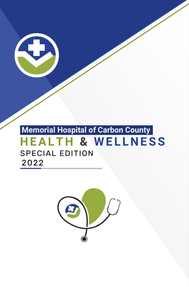

# **H EALT H & W E L L N ESS** SPECIAL EDITION 2022 **Memorial Hospital of Carbon County**

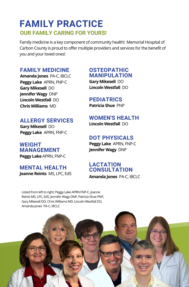### **FAMILY PRACTICE OUR FAMILY CARING FOR YOURS!**

Family medicine is a key component of community health! Memorial Hospital of Carbon County is proud to offer multiple providers and services for the benefit of you and your loved ones!

### **FAMILY MEDICINE**

**Amanda Jones** PA-C, IBCLC **Peggy Lake** APRN, FNP-C **Gary Mikesell** DO **Jennifer Wagy** DNP **Lincoln Westfall** DO **Chris Williams** MD

#### **ALLERGY SERVICES**

**Gary Mikesell** DO **Peggy Lake** APRN, FNP-C

**WEIGHT MANAGEMENT Peggy Lake** APRN, FNP-C

**MENTAL HEALTH Joanne Reints** MS, LPC, EdS

#### **OSTEOPATHIC MANIPULATION**

**Gary Mikesell** DO **Lincoln Westfall** DO

#### **PEDIATRICS**

**Patricia Shue** PNP

### **WOMEN'S HEALTH**

**Lincoln Westfall** DO

#### **DOT PHYSICALS**

**Peggy Lake** APRN, FNP-C **Jennifer Wagy** DNP

#### **LACTATION CONSULTATION**

**Amanda Jones** PA-C, IBCLC

Listed from left to right; Peggy Lake APRN FNP-C, Joanne Reints MS, LPC, EdS, Jennifer Wagy DNP, Patricia Shue PNP, Gary Mikesell DO, Chris Williams MD, Lincoln Westfall DO, Amanda Jones PA-C, IBCLC

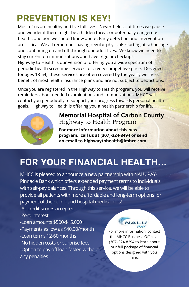# **PREVENTION IS KEY!**

Most of us are healthy and live full lives. Nevertheless, at times we pause and wonder if there might be a hidden threat or potentially dangerous health condition we should know about. Early detection and intervention are critical. We all remember having regular physicals starting at school age and continuing on and off through our adult lives. We know we need to stay current on immunizations and have regular checkups.

Highway to Health is our version of offering you a wide spectrum of periodic health screening services for a very competitive price. Designed for ages 18-64, these services are often covered by the yearly wellness benefit of most health insurance plans and are not subject to deductions.

Once you are registered in the Highway to Health program, you will receive reminders about needed examinations and immunizations. MHCC will contact you periodically to support your progress towards personal health goals. Highway to Health is offering you a health partnership for life.



### Memorial Hospital of Carbon County Highway to Health Program

**For more information about this new program, call us at (307)-324-8494 or send an email to highwaytohealth@imhcc.com.**

# **FOR YOUR FINANCIAL HEALTH...**

MHCC is pleased to announce a new partnership with NALU PAY-Pinnacle Bank which offers extended payment terms to individuals with self-pay balances. Through this service, we will be able to provide all patients with more affordable and long-term options for payment of their clinic and hospital medical bills!

-All credit scores accepted -Zero interest -Loan amounts \$500-\$15,000+ -Payments as low as \$40.00/month -Loan terms 12-60 months -No hidden costs or surprise fees -Option to pay off loan faster, without any penalties

For more information, contact the MHCC Business Office at (307) 324-8294 to learn about our full package of financial options designed with you mind!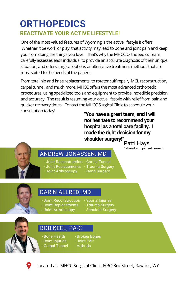## **ORTHOPEDICS REACTIVATE YOUR ACTIVE LIFESTYLE!**

One of the most valued features of Wyoming is the active lifestyle it offers! Whether it be work or play, that activity may lead to bone and joint pain and keep you from doing the things you love. That's why the MHCC Orthopedics Team carefully assesses each individual to provide an accurate diagnosis of their unique situation, and offers surgical options or alternative treatment methods that are most suited to the needs of the patient.

From total hip and knee replacements, to rotator cuff repair, MCL reconstruction, carpal tunnel, and much more, MHCC offers the most advanced orthopedic procedures, using specialized tools and equipment to provide incredible precision and accuracy. The result is resuming your active lifestyle with relief from pain and quicker recovery times. Contact the MHCC Surgical Clinic to schedule your consultation today!

**"You have a great team, and I will not hesitate to recommend your hospital as a total care facility. I made the right decision for my shoulder surgery!"**

Patti Hays \*shared with patient consent

### ANDREW JONASSEN, MD

- Joint Reconstruction Carpal Tunnel
- Joint Replacements Trauma Surgery
- Joint Arthroscopy
- 
- Hand Surgery

### DARIN ALLRED, MD

- Joint Reconstruction - Sports Injuries
- Joint Replacements - Joint Arthroscopy
- Trauma Surgery
- Shoulder Surgery

### BOB KEEL, PA-C

- Bone Health - Joint Injuries
- Broken Bones - Joint Pain
- Carpal Tunnel - Arthritis



Located at: MHCC Surgical Clinic, 606 23rd Street, Rawlins, WY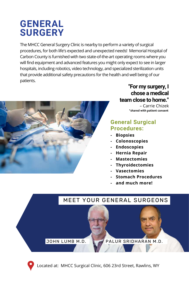# **GENERAL SURGERY**

The MHCC General Surgery Clinic is nearby to perform a variety of surgical procedures, for both life's expected and unexpected needs! Memorial Hospital of Carbon County is furnished with two state-of-the-art operating rooms where you will find equipment and advanced features you might only expect to see in larger hospitals, including robotics, video technology, and specialized sterilization units that provide additional safety precautions for the health and well being of our patients.



### **"For my surgery, I chose a medical team close to home."**

– Carrie Chizek \*shared with patient consent

#### **General Surgical Procedures:**

- **- Biopsies**
- **- Colonoscopies**
- **- Endoscopies**
- **- Hernia Repair**
- **- Mastectomies**
- **- Thyroidectomies**
- **- Vasectomies**
- **- Stomach Procedures**
- **- and much more!**



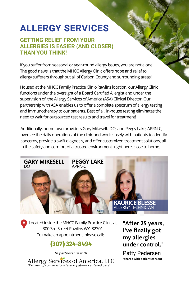# **ALLERGY SERVICES**

#### **GETTING RELIEF FROM YOUR ALLERGIES IS EASIER (AND CLOSER) THAN YOU THINK!**

If you suffer from seasonal or year-round allergy issues, you are not alone! The good news is that the MHCC Allergy Clinic offers hope and relief to allergy sufferers throughout all of Carbon County and surrounding areas!

Housed at the MHCC Family Practice Clinic-Rawlins location, our Allergy Clinic functions under the oversight of a Board Certified Allergist and under the supervision of the Allergy Services of America (ASA) Clinical Director. Our partnership with ASA enables us to offer a complete spectrum of allergy testing and immunotherapy to our patients. Best of all, in-house testing eliminates the need to wait for outsourced test results and travel for treatment!

Additionally, hometown providers Gary Mikesell, DO, and Peggy Lake, APRN-C, oversee the daily operations of the clinic and work closely with patients to identify concerns, provide a swift diagnosis, and offer customized treatment solutions, all in the safety and comfort of a trusted environment- right here, close to home.



Located inside the MHCC Family Practice Clinic at 300 3rd Street Rawlins WY, 82301 To make an appointment, please call:

### **(307) 324-8494**

Allergy Services of America, LLC "Providing compassionate and patient centered care" In partnership with

"After 25 years, I've finally got my allergies under control."

\*shared with patient consent Patty Pedersen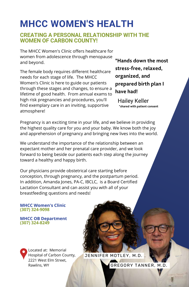# **MHCC WOMEN'S HEALTH**

#### **CREATING A PERSONAL RELATIONSHIP WITH THE WOMEN OF CARBON COUNTY!**

The MHCC Women's Clinic offers healthcare for women from adolescence through menopause and beyond.

The female body requires different healthcare needs for each stage of life. The MHCC Women's Clinic is here to guide our patients through these stages and changes, to ensure a lifetime of good health. From annual exams to high risk pregnancies and procedures, you'll find exemplary care in an inviting, supportive atmosphere!

"Hands down the most stress-free, relaxed, organized, and prepared birth plan I have had!

\*shared with patient consent Hailey Keller

Pregnancy is an exciting time in your life, and we believe in providing the highest quality care for you and your baby. We know both the joy and apprehension of pregnancy and bringing new lives into the world.

We understand the importance of the relationship between an expectant mother and her prenatal care provider, and we look forward to being beside our patients each step along the journey toward a healthy and happy birth.

Our physicians provide obstetrical care starting before conception, through pregnancy, and the postpartum period. In addition, Amanda Jones, PA-C, IBCLC, is a Board Certified Lactation Consultant and can assist you with all of your breastfeeding questions and needs!

#### **MHCC Women's Clinic (307) 324-9098**

#### **MHCC OB Department (307) 324-8249**

Located at: Memorial Hospital of Carbon County, 2221 West Elm Street, Rawlins, WY

#### JENNIFER MOTLEY, M.D.

GREGORY TANNER, M.D.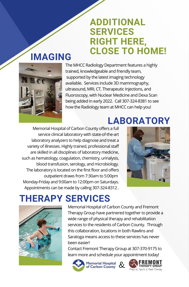# **ADDITIONAL SERVICES RIGHT HERE, CLOSE TO HOME!**

# **IMAGING**



The MHCC Radiology Department features a highly trained, knowledgeable and friendly team, supported by the latest imaging technology available. Services include 3D mammography, ultrasound, MRI, CT, Therapeutic Injections, and Fluoroscopy, with Nuclear Medicine and Dexa Scan being added in early 2022. Call 307-324-8381 to see how the Radiology team at MHCC can help you!

Memorial Hospital of Carbon County offers a full service clinical laboratory with state-of-the-art laboratory analyzers to help diagnose and treat a variety of illnesses. Highly trained, professional staff are skilled in all disciplines of laboratory medicine, such as hematology, coagulation, chemistry, urinalysis, blood transfusion, serology, and microbiology. The laboratory is located on the first floor and offers outpatient draws from 7:30am to 5:00pm Monday-Friday and 9:00am to 12:00pm on Saturdays. Appointments can be made by calling 307-324-8312 .



**LABORATORY**

# **THERAPY SERVICES**



Memorial Hospital of Carbon County and Fremont Therapy Group have partnered together to provide a wide range of physical therapy and rehabilitation services to the residents of Carbon County. Through this collaboration, locations in both Rawlins and Saratoga means access to these services has never been easier!

Contact Fremont Therapy Group at 307-370-9175 to learn more and schedule your appointment today!



Memorial Hospital &

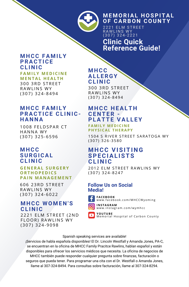

#### **M E M ORIAL H OSPITAL OF CARBO N COU N TY**

 $\overline{2221}$  ELM STREET RAWLINS WY ( 3 0 7 ) 3 2 4 - 2 2 2 1

**Clinic Quick Reference Guide!**

#### **M H CC FA M I LY PRACTICE CL I N IC**

**FAMILY MEDICINE** 

**ME N TAL H EAL T H** 300 3RD STREET RAWLINS WY ( 3 0 7 ) 3 2 4 - 8 4 9 4

#### **M H CC FA M I LY PRACTICE CLINIC-H A N N A**

1008 FELDSPAR CT HANNA WY ( 3 0 7 ) 3 2 5 - 6 5 9 6

#### **M H CC SURGICAL CL I N IC**

#### **G E N ERAL S U R G ERY ORT HOPE D ICS PAI N MA N A G EME N T**

606 23RD STRFFT RAWIINS WY ( 3 0 7 ) 3 2 4 - 6 0 2 2

#### **M H CC W O M E N 'S CL I N IC**

2221 ELM STREET (2ND **FLOOR) RAWLINS WY** ( 3 0 7 ) 3 2 4 - 9 0 9 8

#### **M H CC AL L ERGY CL I N IC**

300 3RD STREET RAWI INS WY ( 3 0 7 ) 3 2 4 - 8 4 9 4

#### **M H CC H EALT H CE N TER - PLATTE VAL L EY**

**FAMI LY ME D ICI N E P H YS ICAL T H ERAPY**

1504 S RIVER STREET SARATOGA WY ( 3 0 7 ) 3 2 6 - 3 5 8 0

#### **M H CC VISITI N G SPECIAL ISTS CL I N IC**

2012 ELM STREET RAWLINS WY ( 3 0 7 ) 3 2 4 - 8 2 4 7

#### **Follow Us on Social Media!**



**FACEBOOK** www.facebook.com/MHCCWyoming



**I N S TA G RAM** www.instagram.com/wymhcc

**YOU T U BE** Memorial Hospital of Carbon County

#### Spanish speaking services are available!

¡Servicios de habla española disponibles! El Dr. Lincoln Westfall y Amanda Jones, PA-C, se encuentran en la oficina de MHCC Family Pracitce Rawlins, hablan español y están disponibles para ofrecer los servicios médicos que necesita. La oficina de negocios de MHCC también puede responder cualquier pregunta sobre finanzas, facturación o seguros que pueda tener. Para programar una cita con el Dr. Westfall o Amanda Jones, llame al 307-324-8494. Para consultas sobre facturación, llame al 307-324-8294.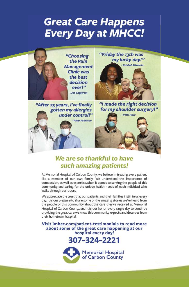# **Great Care Happens Every Day at MHCC!**



### We are so thankful to have such amazing patients!

At Memorial Hospital of Carbon County, we believe in treating every patient like a member of our own family. We understand the importance of compassion, as well as expertise, when it comes to serving the people of this community and caring for the unique health needs of each individual who walks through our doors.

We appreciate the trust that our patients and their families instill in us every day. It is our pleasure to share some of the amazing stories we've heard from the people of this community about the care they've received at Memorial Hospital of Carbon County, and it is our honor every single day to continue providing the great care we know this community expects and deserves from their hometown hospital.

Visit imhcc.com/patient-testimonials to read more about some of the great care happening at our hospital every day!

### 307-324-2221

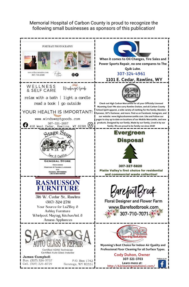#### Memorial Hospital of Carbon County is proud to recognize the following small businesses as sponsors of this publication!